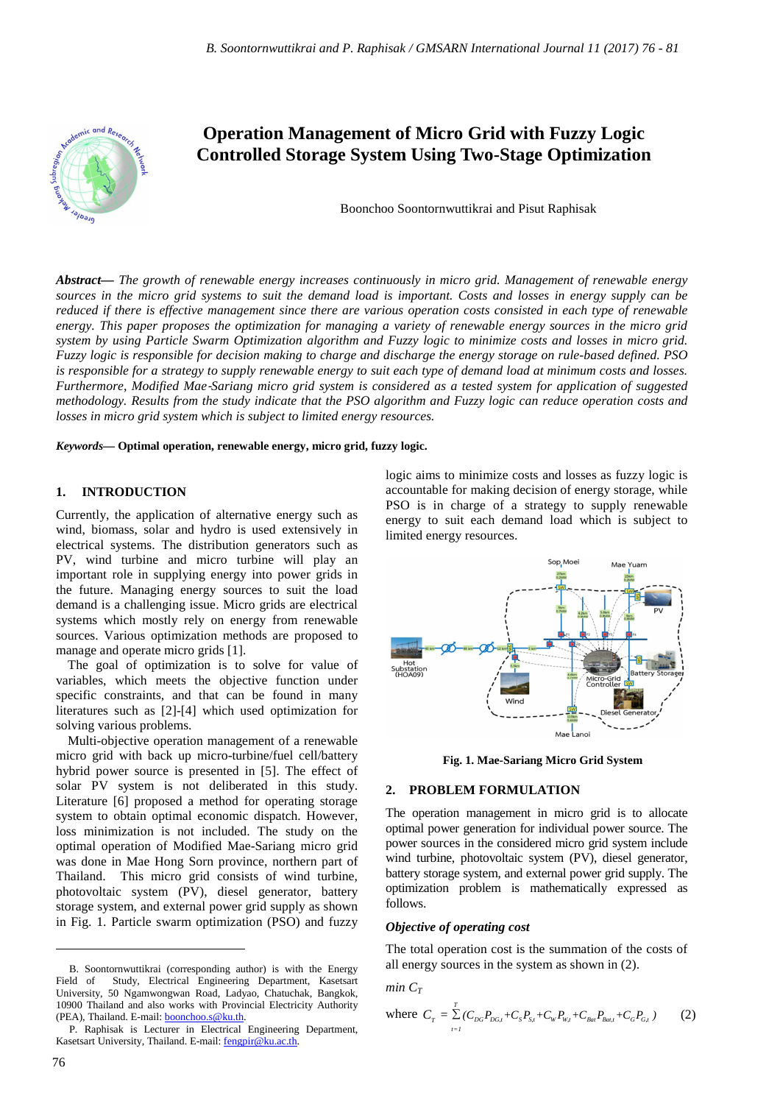

# **Operation Management of Micro Grid with Fuzzy Logic Controlled Storage System Using Two-Stage Optimization**

Boonchoo Soontornwuttikrai and Pisut Raphisak

*Abstract***—** *The growth of renewable energy increases continuously in micro grid. Management of renewable energy sources in the micro grid systems to suit the demand load is important. Costs and losses in energy supply can be reduced if there is effective management since there are various operation costs consisted in each type of renewable energy. This paper proposes the optimization for managing a variety of renewable energy sources in the micro grid system by using Particle Swarm Optimization algorithm and Fuzzy logic to minimize costs and losses in micro grid. Fuzzy logic is responsible for decision making to charge and discharge the energy storage on rule-based defined. PSO is responsible for a strategy to supply renewable energy to suit each type of demand load at minimum costs and losses. Furthermore, Modified Mae*-*Sariang micro grid system is considered as a tested system for application of suggested methodology. Results from the study indicate that the PSO algorithm and Fuzzy logic can reduce operation costs and losses in micro grid system which is subject to limited energy resources.*

*Keywords***— Optimal operation, renewable energy, micro grid, fuzzy logic.**

#### **1. INTRODUCTION**

Currently, the application of alternative energy such as wind, biomass, solar and hydro is used extensively in electrical systems. The distribution generators such as PV, wind turbine and micro turbine will play an important role in supplying energy into power grids in the future. Managing energy sources to suit the load demand is a challenging issue. Micro grids are electrical systems which mostly rely on energy from renewable sources. Various optimization methods are proposed to manage and operate micro grids [1].

The goal of optimization is to solve for value of variables, which meets the objective function under specific constraints, and that can be found in many literatures such as [2]-[4] which used optimization for solving various problems.

Multi-objective operation management of a renewable micro grid with back up micro-turbine/fuel cell/battery hybrid power source is presented in [5]. The effect of solar PV system is not deliberated in this study. Literature [6] proposed a method for operating storage system to obtain optimal economic dispatch. However, loss minimization is not included. The study on the optimal operation of Modified Mae-Sariang micro grid was done in Mae Hong Sorn province, northern part of Thailand. This micro grid consists of wind turbine, photovoltaic system (PV), diesel generator, battery storage system, and external power grid supply as shown in Fig. 1. Particle swarm optimization (PSO) and fuzzy

logic aims to minimize costs and losses as fuzzy logic is accountable for making decision of energy storage, while PSO is in charge of a strategy to supply renewable energy to suit each demand load which is subject to limited energy resources.



**Fig. 1. Mae-Sariang Micro Grid System** 

# **2. PROBLEM FORMULATION**

The operation management in micro grid is to allocate optimal power generation for individual power source. The power sources in the considered micro grid system include wind turbine, photovoltaic system (PV), diesel generator, battery storage system, and external power grid supply. The optimization problem is mathematically expressed as follows.

# *Objective of operating cost*

The total operation cost is the summation of the costs of all energy sources in the system as shown in (2).

*min*  $C_T$ 

where 
$$
C_r = \sum_{t=1}^{T} (C_{DG}P_{DG,t} + C_s P_{S,t} + C_w P_{W,t} + C_{Bar} P_{Bar,t} + C_G P_{G,t})
$$
 (2)

 $\overline{a}$ 

B. Soontornwuttikrai (corresponding author) is with the Energy Field of Study, Electrical Engineering Department, Kasetsart University, 50 Ngamwongwan Road, Ladyao, Chatuchak, Bangkok, 10900 Thailand and also works with Provincial Electricity Authority (PEA), Thailand. E-mail: **boonchoo.s@ku.th**.

P. Raphisak is Lecturer in Electrical Engineering Department, Kasetsart University, Thailand. E-mail: fengpir@ku.ac.th.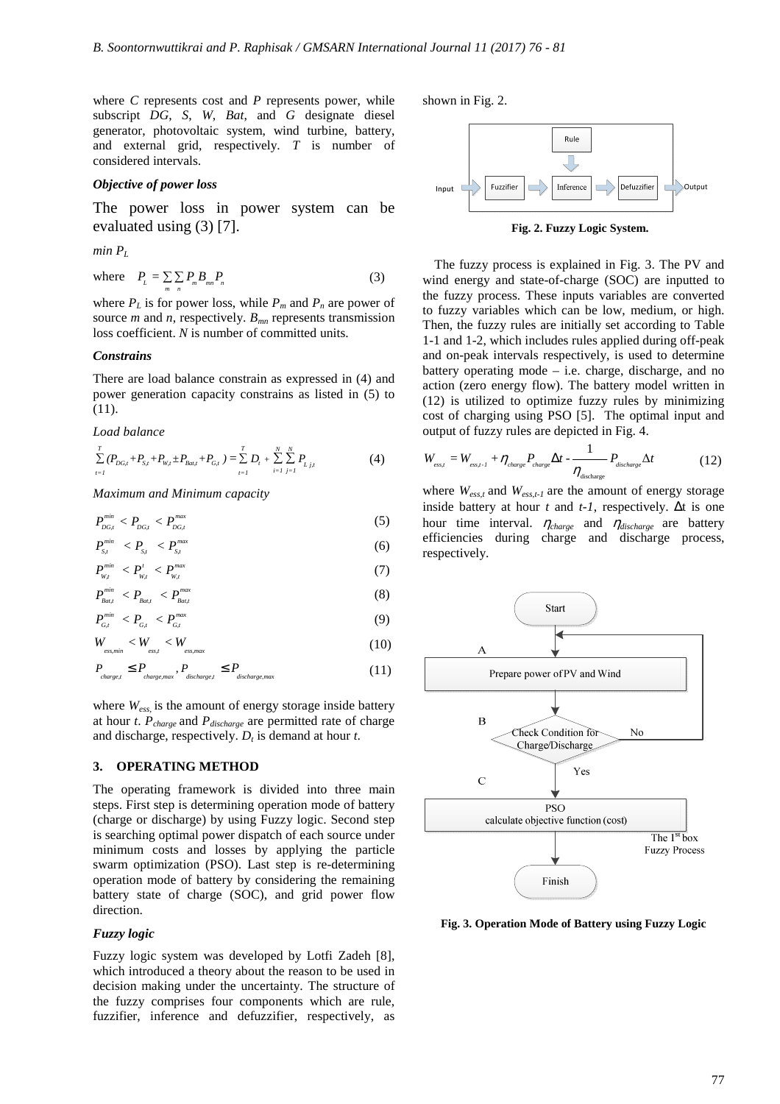where *C* represents cost and *P* represents power, while subscript *DG*, *S*, *W*, *Bat*, and *G* designate diesel generator, photovoltaic system, wind turbine, battery, and external grid, respectively. *T* is number of considered intervals.

#### *Objective of power loss*

The power loss in power system can be evaluated using (3) [7].

 $min$   $P_L$ 

where 
$$
P_{L} = \sum_{m} \sum_{n} P_{m} B_{mn} P_{n}
$$
 (3)

where  $P_L$  is for power loss, while  $P_m$  and  $P_n$  are power of source *m* and *n*, respectively. *Bmn* represents transmission loss coefficient. *N* is number of committed units.

#### *Constrains*

There are load balance constrain as expressed in (4) and power generation capacity constrains as listed in (5) to (11).

*Load balance* 

$$
\sum_{t=1}^{T} (P_{DG,t} + P_{S,t} + P_{W,t} \pm P_{Bat,t} + P_{G,t}) = \sum_{t=1}^{T} D_t + \sum_{i=1}^{N} \sum_{j=1}^{N} P_{L,j,t}
$$
(4)

*Maximum and Minimum capacity*

$$
P_{_{DG,t}}^{^{min}} < P_{_{DG,t}} < P_{_{DG,t}}^{^{max}} \tag{5}
$$

$$
P_{s,t}^{min} < P_{s,t} < P_{s,t}^{max} \tag{6}
$$

$$
P_{w,t}^{min} < P_{w,t}^{t} < P_{w,t}^{max} \tag{7}
$$

$$
P_{\text{Bat}}^{\text{min}} < P_{\text{Bat}} < P_{\text{Bat}}^{\text{max}} \tag{8}
$$
\n
$$
P_{\text{at}}^{\text{min}} < P_{\text{at}} < P_{\text{at}}^{\text{max}} \tag{9}
$$

$$
W_{\text{ess,min}} < W_{\text{ess}} < W_{\text{ess,max}} \tag{10}
$$

$$
P_{\text{charge},l} \le P_{\text{charge},\text{max}}, P_{\text{discharge},l} \le P_{\text{discharge},\text{max}} \tag{11}
$$

where *Wess,* is the amount of energy storage inside battery at hour *t*. *Pcharge* and *Pdischarge* are permitted rate of charge and discharge, respectively. *D<sup>t</sup>* is demand at hour *t*.

# **3. OPERATING METHOD**

The operating framework is divided into three main steps. First step is determining operation mode of battery (charge or discharge) by using Fuzzy logic. Second step is searching optimal power dispatch of each source under minimum costs and losses by applying the particle swarm optimization (PSO). Last step is re-determining operation mode of battery by considering the remaining battery state of charge (SOC), and grid power flow direction.

#### *Fuzzy logic*

Fuzzy logic system was developed by Lotfi Zadeh [8], which introduced a theory about the reason to be used in decision making under the uncertainty. The structure of the fuzzy comprises four components which are rule, fuzzifier, inference and defuzzifier, respectively, as

shown in Fig. 2.



**Fig. 2. Fuzzy Logic System.**

The fuzzy process is explained in Fig. 3. The PV and wind energy and state-of-charge (SOC) are inputted to the fuzzy process. These inputs variables are converted to fuzzy variables which can be low, medium, or high. Then, the fuzzy rules are initially set according to Table 1-1 and 1-2, which includes rules applied during off-peak and on-peak intervals respectively, is used to determine battery operating mode – i.e. charge, discharge, and no action (zero energy flow). The battery model written in (12) is utilized to optimize fuzzy rules by minimizing cost of charging using PSO [5]. The optimal input and output of fuzzy rules are depicted in Fig. 4.

$$
W_{\text{ess},t} = W_{\text{ess},t-1} + \eta_{\text{charge}} P_{\text{charge}} \Delta t - \frac{1}{\eta_{\text{discharge}}} P_{\text{discharge}} \Delta t \tag{12}
$$

where  $W_{ess,t}$  and  $W_{ess,t-1}$  are the amount of energy storage inside battery at hour  $t$  and  $t-1$ , respectively.  $\Delta t$  is one hour time interval. η*charge* and η*discharge* are battery efficiencies during charge and discharge process, respectively.



**Fig. 3. Operation Mode of Battery using Fuzzy Logic**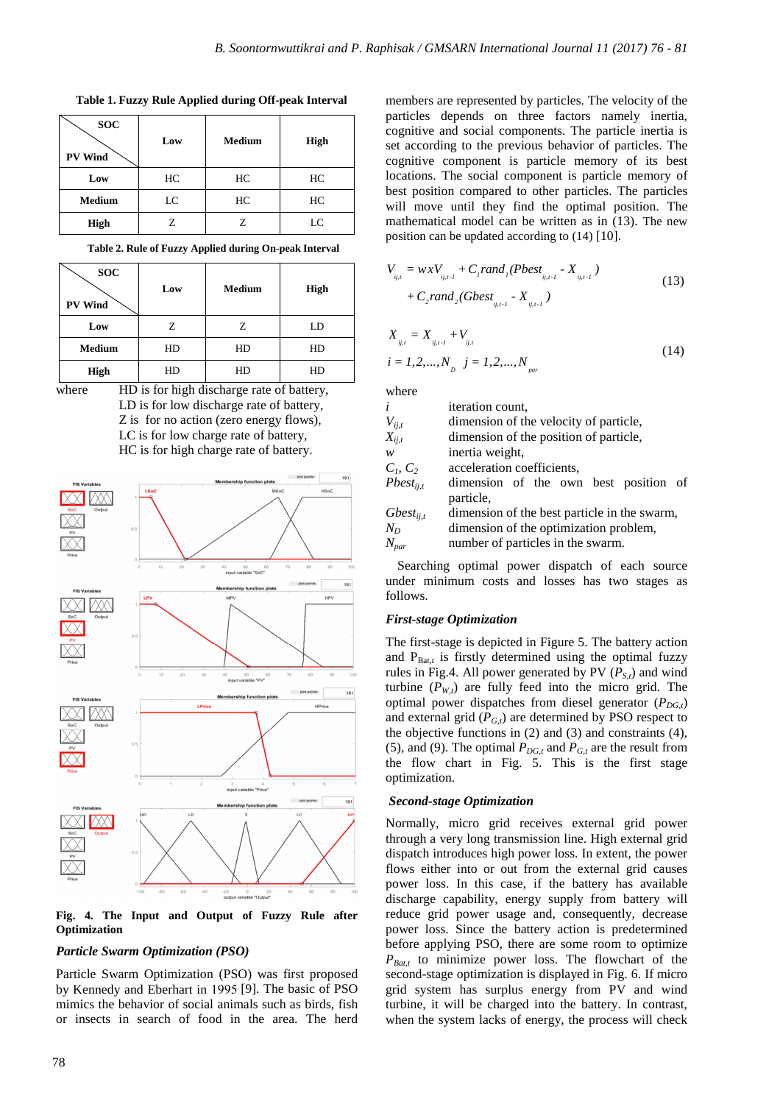**SOC PV Wind Low Medium High Low** HC HC HC **Medium** LC HC HC **High** Z Z LC

**Table 1. Fuzzy Rule Applied during Off-peak Interval**

| Table 2. Rule of Fuzzy Applied during On-peak Interval |  |  |
|--------------------------------------------------------|--|--|
|--------------------------------------------------------|--|--|

| <b>SOC</b><br><b>PV Wind</b> | Low | <b>Medium</b> | High |  |
|------------------------------|-----|---------------|------|--|
| Low                          | Z   | Ζ             | LD   |  |
| <b>Medium</b>                | HD  |               | HD   |  |
| <b>High</b>                  | HD  | HD            | HD   |  |

where **HD** is for high discharge rate of battery, LD is for low discharge rate of battery, Z is for no action (zero energy flows), LC is for low charge rate of battery, HC is for high charge rate of battery.



**Fig. 4. The Input and Output of Fuzzy Rule after Optimization** 

# *Particle Swarm Optimization (PSO)*

Particle Swarm Optimization (PSO) was first proposed by Kennedy and Eberhart in 1995 [9]. The basic of PSO mimics the behavior of social animals such as birds, fish or insects in search of food in the area. The herd

members are represented by particles. The velocity of the particles depends on three factors namely inertia, cognitive and social components. The particle inertia is set according to the previous behavior of particles. The cognitive component is particle memory of its best locations. The social component is particle memory of best position compared to other particles. The particles will move until they find the optimal position. The mathematical model can be written as in (13). The new position can be updated according to (14) [10].

$$
V_{ij,t} = wxV_{ij,t-1} + C_{i}rand_{i}(Pbest_{ij,t-1} - X_{ij,t-1})
$$
  
+  $C_{2}rand_{2}(Gbest_{ij,t-1} - X_{ij,t-1})$  (13)

$$
X_{ij,t} = X_{ij,t-l} + V_{ij,t}
$$
  
\n $i = 1, 2, ..., N_p$   $j = 1, 2, ..., N_{par}$  (14)

where

| $\ddot{i}$     | iteration count.                                   |  |  |  |  |
|----------------|----------------------------------------------------|--|--|--|--|
| $V_{ij,t}$     | dimension of the velocity of particle,             |  |  |  |  |
| $X_{ij,t}$     | dimension of the position of particle,             |  |  |  |  |
| $\mathcal{W}$  | inertia weight.                                    |  |  |  |  |
| $C_1, C_2$     | acceleration coefficients,                         |  |  |  |  |
| $Pbest_{ii,t}$ | dimension of the own best position of<br>particle, |  |  |  |  |
| $Gbest_{ij,t}$ | dimension of the best particle in the swarm,       |  |  |  |  |
| $N_D$          | dimension of the optimization problem,             |  |  |  |  |
| $N_{par}$      | number of particles in the swarm.                  |  |  |  |  |

Searching optimal power dispatch of each source under minimum costs and losses has two stages as follows.

#### *First-stage Optimization*

The first-stage is depicted in Figure 5. The battery action and  $P_{\text{Bat}\textit{t}}$  is firstly determined using the optimal fuzzy rules in Fig.4. All power generated by PV  $(P_{St})$  and wind turbine  $(P_{W,t})$  are fully feed into the micro grid. The optimal power dispatches from diesel generator  $(P_{DG,t})$ and external grid  $(P_{G,t})$  are determined by PSO respect to the objective functions in (2) and (3) and constraints (4), (5), and (9). The optimal  $P_{DG,t}$  and  $P_{G,t}$  are the result from the flow chart in Fig. 5. This is the first stage optimization.

#### *Second-stage Optimization*

Normally, micro grid receives external grid power through a very long transmission line. High external grid dispatch introduces high power loss. In extent, the power flows either into or out from the external grid causes power loss. In this case, if the battery has available discharge capability, energy supply from battery will reduce grid power usage and, consequently, decrease power loss. Since the battery action is predetermined before applying PSO, there are some room to optimize  $P_{Bat}$  to minimize power loss. The flowchart of the second-stage optimization is displayed in Fig. 6. If micro grid system has surplus energy from PV and wind turbine, it will be charged into the battery. In contrast, when the system lacks of energy, the process will check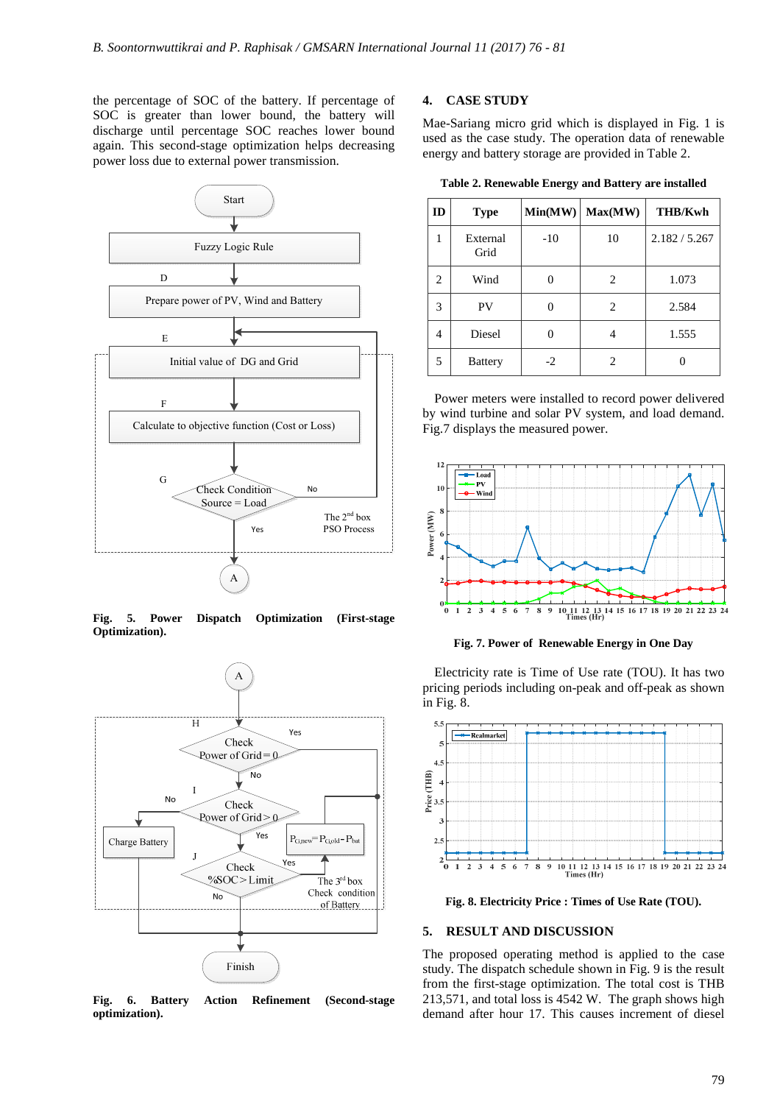the percentage of SOC of the battery. If percentage of SOC is greater than lower bound, the battery will discharge until percentage SOC reaches lower bound again. This second-stage optimization helps decreasing power loss due to external power transmission.



**Fig. 5. Power Dispatch Optimization (First-stage Optimization).** 



**Fig. 6. Battery Action Refinement (Second-stage optimization).** 

# **4. CASE STUDY**

Mae-Sariang micro grid which is displayed in Fig. 1 is used as the case study. The operation data of renewable energy and battery storage are provided in Table 2.

**Table 2. Renewable Energy and Battery are installed** 

| ID | <b>Type</b>      | Min(MW) | Max(MW) | <b>THB/Kwh</b> |
|----|------------------|---------|---------|----------------|
| 1  | External<br>Grid | $-10$   | 10      | 2.182 / 5.267  |
| 2  | Wind             |         | 2       | 1.073          |
| 3  | PV               |         | 2       | 2.584          |
| 4  | Diesel           |         |         | 1.555          |
| 5  | <b>Battery</b>   | $-2$    | 2       |                |

Power meters were installed to record power delivered by wind turbine and solar PV system, and load demand. Fig.7 displays the measured power.



**Fig. 7. Power of Renewable Energy in One Day** 

Electricity rate is Time of Use rate (TOU). It has two pricing periods including on-peak and off-peak as shown in Fig. 8.



**Fig. 8. Electricity Price : Times of Use Rate (TOU).** 

#### **5. RESULT AND DISCUSSION**

The proposed operating method is applied to the case study. The dispatch schedule shown in Fig. 9 is the result from the first-stage optimization. The total cost is THB 213,571, and total loss is 4542 W. The graph shows high demand after hour 17. This causes increment of diesel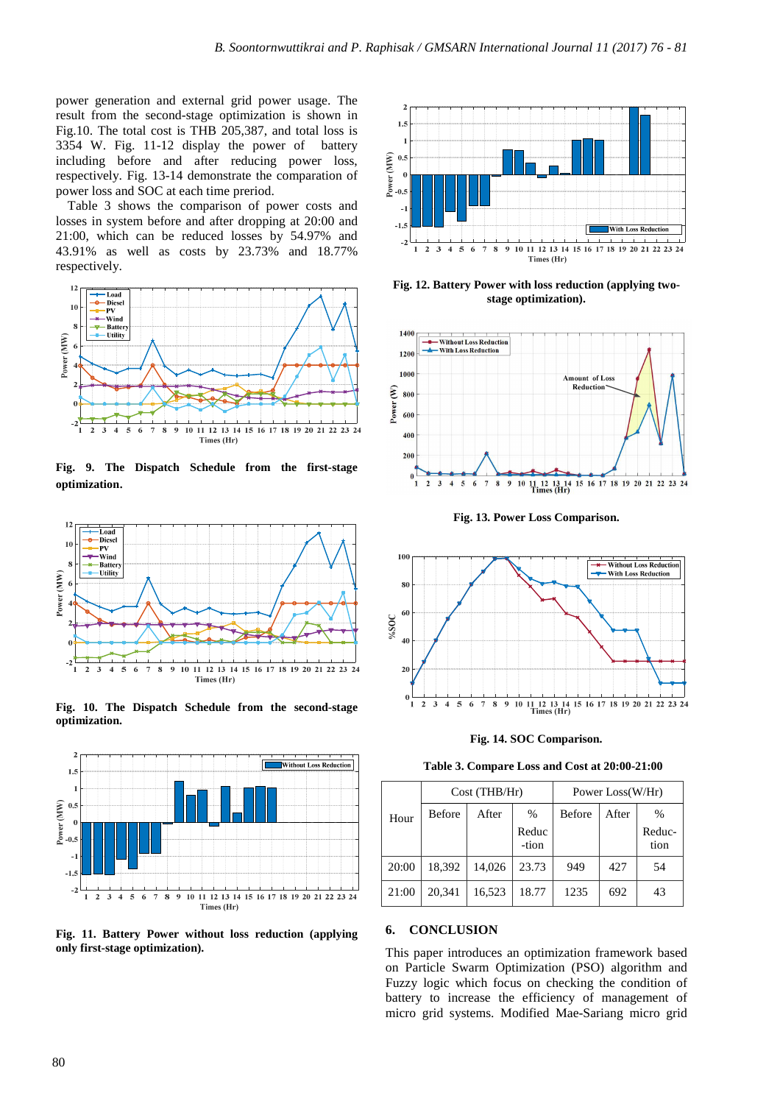power generation and external grid power usage. The result from the second-stage optimization is shown in Fig.10. The total cost is THB 205,387, and total loss is 3354 W. Fig. 11-12 display the power of battery including before and after reducing power loss, respectively. Fig. 13-14 demonstrate the comparation of power loss and SOC at each time preriod.

Table 3 shows the comparison of power costs and losses in system before and after dropping at 20:00 and 21:00, which can be reduced losses by 54.97% and 43.91% as well as costs by 23.73% and 18.77% respectively.



**Fig. 9. The Dispatch Schedule from the first-stage optimization**.



**Fig. 10. The Dispatch Schedule from the second-stage optimization.** 



**Fig. 11. Battery Power without loss reduction (applying only first-stage optimization).** 



**Fig. 12. Battery Power with loss reduction (applying twostage optimization).** 



**Fig. 13. Power Loss Comparison.** 



**Fig. 14. SOC Comparison.** 

**Table 3. Compare Loss and Cost at 20:00-21:00** 

|       | Cost (THB/Hr) |        | Power Loss(W/Hr) |        |       |                |
|-------|---------------|--------|------------------|--------|-------|----------------|
| Hour  | Before        | After  | $\%$             | Before | After | $\frac{0}{0}$  |
|       |               |        | Reduc<br>-tion   |        |       | Reduc-<br>tion |
| 20:00 | 18.392        | 14.026 | 23.73            | 949    | 427   | 54             |
| 21:00 | 20.341        | 16,523 | 18.77            | 1235   | 692   | 43             |

# **6. CONCLUSION**

This paper introduces an optimization framework based on Particle Swarm Optimization (PSO) algorithm and Fuzzy logic which focus on checking the condition of battery to increase the efficiency of management of micro grid systems. Modified Mae-Sariang micro grid